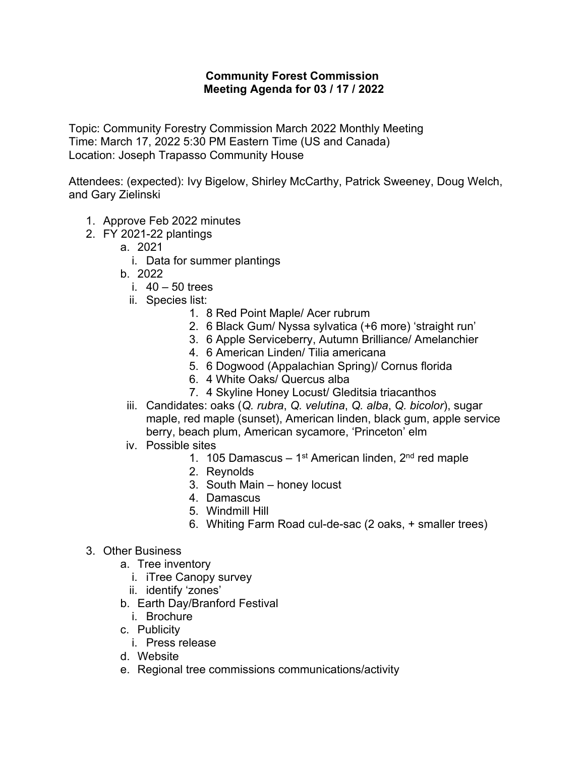## **Community Forest Commission Meeting Agenda for 03 / 17 / 2022**

Topic: Community Forestry Commission March 2022 Monthly Meeting Time: March 17, 2022 5:30 PM Eastern Time (US and Canada) Location: Joseph Trapasso Community House

Attendees: (expected): Ivy Bigelow, Shirley McCarthy, Patrick Sweeney, Doug Welch, and Gary Zielinski

- 1. Approve Feb 2022 minutes
- 2. FY 2021-22 plantings
	- a. 2021
		- i. Data for summer plantings
	- b. 2022
		- i.  $40 50$  trees
		- ii. Species list:
			- 1. 8 Red Point Maple/ Acer rubrum
			- 2. 6 Black Gum/ Nyssa sylvatica (+6 more) 'straight run'
			- 3. 6 Apple Serviceberry, Autumn Brilliance/ Amelanchier
			- 4. 6 American Linden/ Tilia americana
			- 5. 6 Dogwood (Appalachian Spring)/ Cornus florida
			- 6. 4 White Oaks/ Quercus alba
			- 7. 4 Skyline Honey Locust/ Gleditsia triacanthos
	- iii. Candidates: oaks (*Q. rubra*, *Q. velutina*, *Q. alba*, *Q. bicolor*), sugar maple, red maple (sunset), American linden, black gum, apple service berry, beach plum, American sycamore, 'Princeton' elm
	- iv. Possible sites
		- 1. 105 Damascus 1<sup>st</sup> American linden,  $2<sup>nd</sup>$  red maple
		- 2. Reynolds
		- 3. South Main honey locust
		- 4. Damascus
		- 5. Windmill Hill
		- 6. Whiting Farm Road cul-de-sac (2 oaks, + smaller trees)
- 3. Other Business
	- a. Tree inventory
		- i. iTree Canopy survey
		- ii. identify 'zones'
	- b. Earth Day/Branford Festival
		- i. Brochure
	- c. Publicity
		- i. Press release
	- d. Website
	- e. Regional tree commissions communications/activity